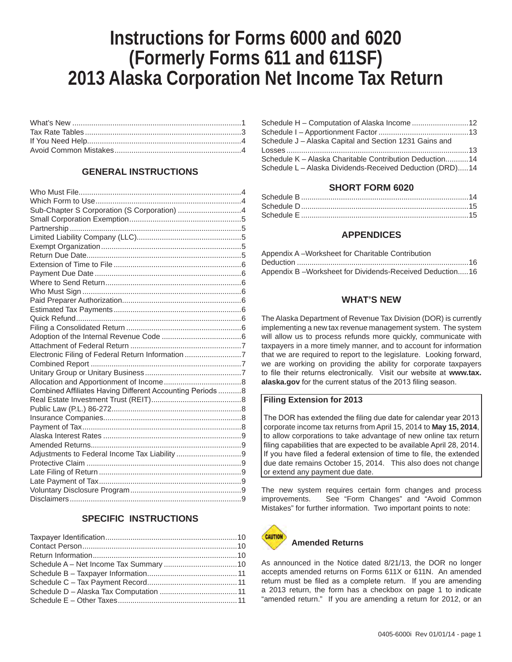# **Instructions for Forms 6000 and 6020 (Formerly Forms 611 and 611SF) 2013 Alaska Corporation Net Income Tax Return**

## **GENERAL INSTRUCTIONS**

| Sub-Chapter S Corporation (S Corporation) 4               |  |
|-----------------------------------------------------------|--|
|                                                           |  |
|                                                           |  |
|                                                           |  |
|                                                           |  |
|                                                           |  |
|                                                           |  |
|                                                           |  |
|                                                           |  |
|                                                           |  |
|                                                           |  |
|                                                           |  |
|                                                           |  |
|                                                           |  |
|                                                           |  |
|                                                           |  |
| Electronic Filing of Federal Return Information 7         |  |
|                                                           |  |
|                                                           |  |
|                                                           |  |
| Combined Affiliates Having Different Accounting Periods 8 |  |
|                                                           |  |
|                                                           |  |
|                                                           |  |
|                                                           |  |
|                                                           |  |
|                                                           |  |
|                                                           |  |
|                                                           |  |
|                                                           |  |
|                                                           |  |
|                                                           |  |
|                                                           |  |

## **SPECIFIC INSTRUCTIONS**

| Schedule H - Computation of Alaska Income 12             |  |
|----------------------------------------------------------|--|
|                                                          |  |
| Schedule J - Alaska Capital and Section 1231 Gains and   |  |
|                                                          |  |
| Schedule K – Alaska Charitable Contribution Deduction14  |  |
| Schedule L - Alaska Dividends-Received Deduction (DRD)14 |  |

## **SHORT FORM 6020**

| Schedule D……………………………………………………………………15 |  |
|----------------------------------------|--|
|                                        |  |

## **APPENDICES**

| Appendix A-Worksheet for Charitable Contribution        |  |
|---------------------------------------------------------|--|
|                                                         |  |
| Appendix B-Worksheet for Dividends-Received Deduction16 |  |

## **WHAT'S NEW**

The Alaska Department of Revenue Tax Division (DOR) is currently implementing a new tax revenue management system. The system will allow us to process refunds more quickly, communicate with taxpayers in a more timely manner, and to account for information that we are required to report to the legislature. Looking forward, we are working on providing the ability for corporate taxpayers to file their returns electronically. Visit our website at **www.tax. alaska.gov** for the current status of the 2013 filing season.

#### **Filing Extension for 2013**

The DOR has extended the filing due date for calendar year 2013 corporate income tax returns from April 15, 2014 to **May 15, 2014**, to allow corporations to take advantage of new online tax return filing capabilities that are expected to be available April 28, 2014. If you have filed a federal extension of time to file, the extended due date remains October 15, 2014. This also does not change or extend any payment due date.

The new system requires certain form changes and process improvements. See "Form Changes" and "Avoid Common Mistakes" for further information. Two important points to note:



As announced in the Notice dated 8/21/13, the DOR no longer accepts amended returns on Forms 611X or 611N. An amended return must be filed as a complete return. If you are amending a 2013 return, the form has a checkbox on page 1 to indicate "amended return." If you are amending a return for 2012, or an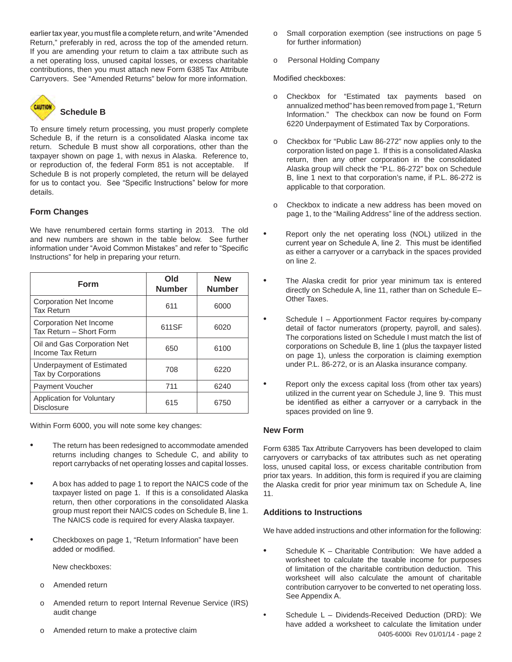earlier tax year, you must file a complete return, and write "Amended Return," preferably in red, across the top of the amended return. If you are amending your return to claim a tax attribute such as a net operating loss, unused capital losses, or excess charitable contributions, then you must attach new Form 6385 Tax Attribute Carryovers. See "Amended Returns" below for more information.



# **Schedule B**

To ensure timely return processing, you must properly complete Schedule B, if the return is a consolidated Alaska income tax return. Schedule B must show all corporations, other than the taxpayer shown on page 1, with nexus in Alaska. Reference to, or reproduction of, the federal Form 851 is not acceptable. If Schedule B is not properly completed, the return will be delayed for us to contact you. See "Specific Instructions" below for more details.

## **Form Changes**

We have renumbered certain forms starting in 2013. The old and new numbers are shown in the table below. See further information under "Avoid Common Mistakes" and refer to "Specific Instructions" for help in preparing your return.

| Form                                                     | Old<br><b>Number</b> | <b>New</b><br><b>Number</b> |
|----------------------------------------------------------|----------------------|-----------------------------|
| Corporation Net Income<br><b>Tax Return</b>              | 611                  | 6000                        |
| <b>Corporation Net Income</b><br>Tax Return - Short Form | 611SF                | 6020                        |
| Oil and Gas Corporation Net<br>Income Tax Return         | 650                  | 6100                        |
| Underpayment of Estimated<br>Tax by Corporations         | 708                  | 6220                        |
| <b>Payment Voucher</b>                                   | 711                  | 6240                        |
| Application for Voluntary<br><b>Disclosure</b>           | 615                  | 6750                        |

Within Form 6000, you will note some key changes:

- The return has been redesigned to accommodate amended returns including changes to Schedule C, and ability to report carrybacks of net operating losses and capital losses.
- A box has added to page 1 to report the NAICS code of the taxpayer listed on page 1. If this is a consolidated Alaska return, then other corporations in the consolidated Alaska group must report their NAICS codes on Schedule B, line 1. The NAICS code is required for every Alaska taxpayer.
- Checkboxes on page 1, "Return Information" have been added or modified.

New checkboxes:

- o Amended return
- o Amended return to report Internal Revenue Service (IRS) audit change
- Amended return to make a protective claim
- o Small corporation exemption (see instructions on page 5 for further information)
- o Personal Holding Company

Modified checkboxes:

- o Checkbox for "Estimated tax payments based on annualized method" has been removed from page 1, "Return Information." The checkbox can now be found on Form 6220 Underpayment of Estimated Tax by Corporations.
- o Checkbox for "Public Law 86-272" now applies only to the corporation listed on page 1. If this is a consolidated Alaska return, then any other corporation in the consolidated Alaska group will check the "P.L. 86-272" box on Schedule B, line 1 next to that corporation's name, if P.L. 86-272 is applicable to that corporation.
- o Checkbox to indicate a new address has been moved on page 1, to the "Mailing Address" line of the address section.
- Report only the net operating loss (NOL) utilized in the current year on Schedule A, line 2. This must be identified as either a carryover or a carryback in the spaces provided on line 2.
- The Alaska credit for prior year minimum tax is entered directly on Schedule A, line 11, rather than on Schedule E– Other Taxes.
- Schedule I Apportionment Factor requires by-company detail of factor numerators (property, payroll, and sales). The corporations listed on Schedule I must match the list of corporations on Schedule B, line 1 (plus the taxpayer listed on page 1), unless the corporation is claiming exemption under P.L. 86-272, or is an Alaska insurance company.
- Report only the excess capital loss (from other tax years) utilized in the current year on Schedule J, line 9. This must be identified as either a carryover or a carryback in the spaces provided on line 9.

#### **New Form**

Form 6385 Tax Attribute Carryovers has been developed to claim carryovers or carrybacks of tax attributes such as net operating loss, unused capital loss, or excess charitable contribution from prior tax years. In addition, this form is required if you are claiming the Alaska credit for prior year minimum tax on Schedule A, line 11.

## **Additions to Instructions**

We have added instructions and other information for the following:

- Schedule K Charitable Contribution: We have added a worksheet to calculate the taxable income for purposes of limitation of the charitable contribution deduction. This worksheet will also calculate the amount of charitable contribution carryover to be converted to net operating loss. See Appendix A.
- 0405-6000i Rev 01/01/14 page 2 • Schedule L – Dividends-Received Deduction (DRD): We have added a worksheet to calculate the limitation under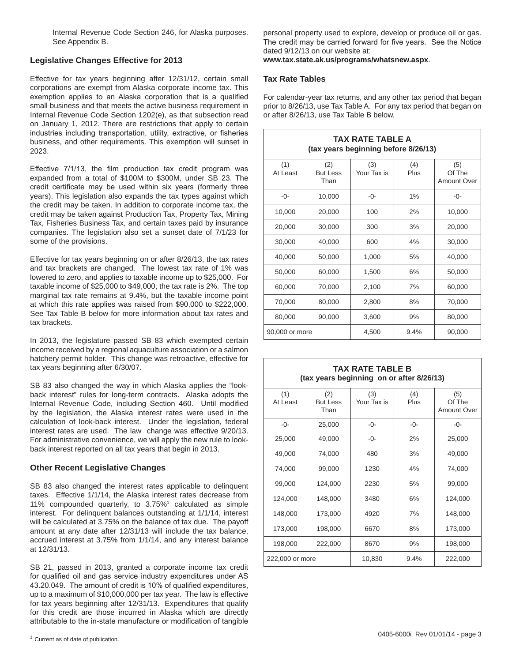Internal Revenue Code Section 246, for Alaska purposes. See Appendix B.

## **Legislative Changes Effective for 2013**

Effective for tax years beginning after 12/31/12, certain small corporations are exempt from Alaska corporate income tax. This exemption applies to an Alaska corporation that is a qualified small business and that meets the active business requirement in Internal Revenue Code Section 1202(e), as that subsection read on January 1, 2012. There are restrictions that apply to certain industries including transportation, utility, extractive, or fisheries business, and other requirements. This exemption will sunset in 2023.

Effective 7/1/13, the film production tax credit program was expanded from a total of \$100M to \$300M, under SB 23. The credit certificate may be used within six years (formerly three years). This legislation also expands the tax types against which the credit may be taken. In addition to corporate income tax, the credit may be taken against Production Tax, Property Tax, Mining Tax, Fisheries Business Tax, and certain taxes paid by insurance companies. The legislation also set a sunset date of 7/1/23 for some of the provisions.

Effective for tax years beginning on or after 8/26/13, the tax rates and tax brackets are changed. The lowest tax rate of 1% was lowered to zero, and applies to taxable income up to \$25,000. For taxable income of \$25,000 to \$49,000, the tax rate is 2%. The top marginal tax rate remains at 9.4%, but the taxable income point at which this rate applies was raised from \$90,000 to \$222,000. See Tax Table B below for more information about tax rates and tax brackets.

In 2013, the legislature passed SB 83 which exempted certain income received by a regional aquaculture association or a salmon hatchery permit holder. This change was retroactive, effective for tax years beginning after 6/30/07.

SB 83 also changed the way in which Alaska applies the "lookback interest" rules for long-term contracts. Alaska adopts the Internal Revenue Code, including Section 460. Until modified by the legislation, the Alaska interest rates were used in the calculation of look-back interest. Under the legislation, federal interest rates are used. The law change was effective 9/20/13. For administrative convenience, we will apply the new rule to lookback interest reported on all tax years that begin in 2013.

#### **Other Recent Legislative Changes**

SB 83 also changed the interest rates applicable to delinguent taxes. Effective 1/1/14, the Alaska interest rates decrease from 11% compounded quarterly, to 3.75%1 calculated as simple interest. For delinquent balances outstanding at 1/1/14, interest will be calculated at 3.75% on the balance of tax due. The payoff amount at any date after 12/31/13 will include the tax balance, accrued interest at 3.75% from 1/1/14, and any interest balance at 12/31/13.

SB 21, passed in 2013, granted a corporate income tax credit for qualified oil and gas service industry expenditures under AS 43.20.049. The amount of credit is 10% of qualified expenditures, up to a maximum of \$10,000,000 per tax year. The law is effective for tax years beginning after 12/31/13. Expenditures that qualify for this credit are those incurred in Alaska which are directly attributable to the in-state manufacture or modification of tangible

personal property used to explore, develop or produce oil or gas. The credit may be carried forward for five years. See the Notice dated 9/12/13 on our website at:

**www.tax.state.ak.us/programs/whatsnew.aspx**.

#### **Tax Rate Tables**

For calendar-year tax returns, and any other tax period that began prior to 8/26/13, use Tax Table A. For any tax period that began on or after 8/26/13, use Tax Table B below.

| <b>TAX RATE TABLE A</b><br>(tax years beginning before 8/26/13) |                                |                    |             |                                     |  |
|-----------------------------------------------------------------|--------------------------------|--------------------|-------------|-------------------------------------|--|
| (1)<br>At Least                                                 | (2)<br><b>But Less</b><br>Than | (3)<br>Your Tax is | (4)<br>Plus | (5)<br>Of The<br><b>Amount Over</b> |  |
| -0-                                                             | 10,000                         | -0-                | 1%          | $-0-$                               |  |
| 10,000                                                          | 20,000                         | 100                | 2%          | 10,000                              |  |
| 20,000                                                          | 30,000                         | 300                | 3%          | 20,000                              |  |
| 30,000                                                          | 40,000                         | 600                | 4%          | 30,000                              |  |
| 40,000                                                          | 50,000                         | 1,000              | 5%          | 40,000                              |  |
| 50,000                                                          | 60,000                         | 1,500              | 6%          | 50,000                              |  |
| 60,000                                                          | 70,000                         | 2,100              | 7%          | 60,000                              |  |
| 70,000                                                          | 80,000                         | 2,800              | 8%          | 70,000                              |  |
| 80,000                                                          | 90,000                         | 3,600              | 9%          | 80,000                              |  |
| 90,000 or more                                                  |                                | 4,500              | 9.4%        | 90,000                              |  |

#### **TAX RATE TABLE B (tax years beginning on or after 8/26/13)**

| (1)<br>At Least | (2)<br><b>But Less</b><br>Than | (3)<br>Your Tax is | (4)<br>Plus | (5)<br>Of The<br><b>Amount Over</b> |
|-----------------|--------------------------------|--------------------|-------------|-------------------------------------|
| -0-             | 25,000                         | -0-                | -0-         | -0-                                 |
| 25,000          | 49,000                         | -0-                | 2%          | 25,000                              |
| 49,000          | 74,000                         | 480                | 3%          | 49,000                              |
| 74,000          | 99,000                         | 1230               | 4%          | 74,000                              |
| 99,000          | 124,000                        | 2230               | 5%          | 99,000                              |
| 124,000         | 148,000                        | 3480               | 6%          | 124,000                             |
| 148,000         | 173,000                        | 4920               | 7%          | 148,000                             |
| 173,000         | 198,000                        | 6670               | 8%          | 173,000                             |
| 198,000         | 222,000                        | 8670               | 9%          | 198,000                             |
| 222,000 or more |                                | 10,830             | 9.4%        | 222,000                             |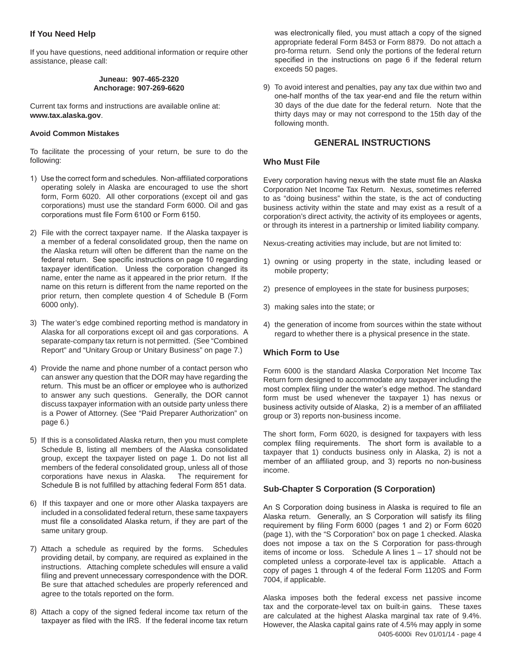## **If You Need Help**

If you have questions, need additional information or require other assistance, please call:

#### **Juneau: 907-465-2320 Anchorage: 907-269-6620**

Current tax forms and instructions are available online at: **www.tax.alaska.gov**.

#### **Avoid Common Mistakes**

To facilitate the processing of your return, be sure to do the following:

- 1) Use the correct form and schedules. Non-affiliated corporations operating solely in Alaska are encouraged to use the short form, Form 6020. All other corporations (except oil and gas corporations) must use the standard Form 6000. Oil and gas corporations must file Form 6100 or Form 6150.
- 2) File with the correct taxpayer name. If the Alaska taxpayer is a member of a federal consolidated group, then the name on the Alaska return will often be different than the name on the federal return. See specific instructions on page 10 regarding taxpayer identification. Unless the corporation changed its name, enter the name as it appeared in the prior return. If the name on this return is different from the name reported on the prior return, then complete question 4 of Schedule B (Form 6000 only).
- 3) The water's edge combined reporting method is mandatory in Alaska for all corporations except oil and gas corporations. A separate-company tax return is not permitted. (See "Combined Report" and "Unitary Group or Unitary Business" on page 7.)
- 4) Provide the name and phone number of a contact person who can answer any question that the DOR may have regarding the return. This must be an officer or employee who is authorized to answer any such questions. Generally, the DOR cannot discuss taxpayer information with an outside party unless there is a Power of Attorney. (See "Paid Preparer Authorization" on page 6.)
- 5) If this is a consolidated Alaska return, then you must complete Schedule B, listing all members of the Alaska consolidated group, except the taxpayer listed on page 1. Do not list all members of the federal consolidated group, unless all of those corporations have nexus in Alaska. The requirement for Schedule B is not fulfilled by attaching federal Form 851 data.
- 6) If this taxpayer and one or more other Alaska taxpayers are included in a consolidated federal return, these same taxpayers must file a consolidated Alaska return, if they are part of the same unitary group.
- 7) Attach a schedule as required by the forms. Schedules providing detail, by company, are required as explained in the instructions. Attaching complete schedules will ensure a valid filing and prevent unnecessary correspondence with the DOR. Be sure that attached schedules are properly referenced and agree to the totals reported on the form.
- 8) Attach a copy of the signed federal income tax return of the taxpayer as filed with the IRS. If the federal income tax return

was electronically filed, you must attach a copy of the signed appropriate federal Form 8453 or Form 8879. Do not attach a pro-forma return. Send only the portions of the federal return specified in the instructions on page 6 if the federal return exceeds 50 pages.

9) To avoid interest and penalties, pay any tax due within two and one-half months of the tax year-end and file the return within 30 days of the due date for the federal return. Note that the thirty days may or may not correspond to the 15th day of the following month.

## **GENERAL INSTRUCTIONS**

#### **Who Must File**

Every corporation having nexus with the state must file an Alaska Corporation Net Income Tax Return. Nexus, sometimes referred to as "doing business" within the state, is the act of conducting business activity within the state and may exist as a result of a corporation's direct activity, the activity of its employees or agents, or through its interest in a partnership or limited liability company.

Nexus-creating activities may include, but are not limited to:

- 1) owning or using property in the state, including leased or mobile property;
- 2) presence of employees in the state for business purposes;
- 3) making sales into the state; or
- 4) the generation of income from sources within the state without regard to whether there is a physical presence in the state.

#### **Which Form to Use**

Form 6000 is the standard Alaska Corporation Net Income Tax Return form designed to accommodate any taxpayer including the most complex filing under the water's edge method. The standard form must be used whenever the taxpayer 1) has nexus or business activity outside of Alaska, 2) is a member of an affiliated group or 3) reports non-business income.

The short form, Form 6020, is designed for taxpayers with less complex filing requirements. The short form is available to a taxpayer that 1) conducts business only in Alaska, 2) is not a member of an affiliated group, and 3) reports no non-business income.

#### **Sub-Chapter S Corporation (S Corporation)**

An S Corporation doing business in Alaska is required to file an Alaska return. Generally, an S Corporation will satisfy its filing requirement by filing Form 6000 (pages 1 and 2) or Form 6020 (page 1), with the "S Corporation" box on page 1 checked. Alaska does not impose a tax on the S Corporation for pass-through items of income or loss. Schedule A lines 1 – 17 should not be completed unless a corporate-level tax is applicable. Attach a copy of pages 1 through 4 of the federal Form 1120S and Form 7004, if applicable.

0405-6000i Rev 01/01/14 - page 4 Alaska imposes both the federal excess net passive income tax and the corporate-level tax on built-in gains. These taxes are calculated at the highest Alaska marginal tax rate of 9.4%. However, the Alaska capital gains rate of 4.5% may apply in some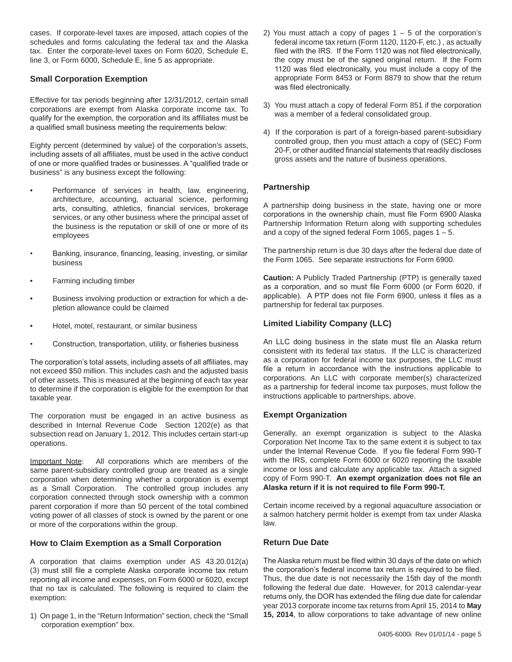cases. If corporate-level taxes are imposed, attach copies of the schedules and forms calculating the federal tax and the Alaska tax. Enter the corporate-level taxes on Form 6020, Schedule E, line 3, or Form 6000, Schedule E, line 5 as appropriate.

## **Small Corporation Exemption**

Effective for tax periods beginning after 12/31/2012, certain small corporations are exempt from Alaska corporate income tax. To qualify for the exemption, the corporation and its affiliates must be a qualified small business meeting the requirements below:

Eighty percent (determined by value) of the corporation's assets, including assets of all affiliates, must be used in the active conduct of one or more qualified trades or businesses. A "qualified trade or business" is any business except the following:

- Performance of services in health, law, engineering, architecture, accounting, actuarial science, performing arts, consulting, athletics, financial services, brokerage services, or any other business where the principal asset of the business is the reputation or skill of one or more of its employees
- Banking, insurance, financing, leasing, investing, or similar business
- Farming including timber
- Business involving production or extraction for which a depletion allowance could be claimed
- Hotel, motel, restaurant, or similar business
- Construction, transportation, utility, or fisheries business

The corporation's total assets, including assets of all affiliates, may not exceed \$50 million. This includes cash and the adjusted basis of other assets. This is measured at the beginning of each tax year to determine if the corporation is eligible for the exemption for that taxable year.

The corporation must be engaged in an active business as described in Internal Revenue Code Section 1202(e) as that subsection read on January 1, 2012. This includes certain start-up operations.

Important Note: All corporations which are members of the same parent-subsidiary controlled group are treated as a single corporation when determining whether a corporation is exempt as a Small Corporation. The controlled group includes any corporation connected through stock ownership with a common parent corporation if more than 50 percent of the total combined voting power of all classes of stock is owned by the parent or one or more of the corporations within the group.

#### **How to Claim Exemption as a Small Corporation**

A corporation that claims exemption under AS 43.20.012(a) (3) must still file a complete Alaska corporate income tax return reporting all income and expenses, on Form 6000 or 6020, except that no tax is calculated. The following is required to claim the exemption:

1) On page 1, in the "Return Information" section, check the "Small corporation exemption" box.

- 2) You must attach a copy of pages  $1 5$  of the corporation's federal income tax return (Form 1120, 1120-F, etc.) , as actually filed with the IRS. If the Form 1120 was not filed electronically, the copy must be of the signed original return. If the Form 1120 was filed electronically, you must include a copy of the appropriate Form 8453 or Form 8879 to show that the return was filed electronically.
- 3) You must attach a copy of federal Form 851 if the corporation was a member of a federal consolidated group.
- 4) If the corporation is part of a foreign-based parent-subsidiary controlled group, then you must attach a copy of (SEC) Form 20-F, or other audited financial statements that readily discloses gross assets and the nature of business operations.

#### **Partnership**

A partnership doing business in the state, having one or more corporations in the ownership chain, must file Form 6900 Alaska Partnership Information Return along with supporting schedules and a copy of the signed federal Form 1065, pages  $1 - 5$ .

The partnership return is due 30 days after the federal due date of the Form 1065. See separate instructions for Form 6900.

**Caution:** A Publicly Traded Partnership (PTP) is generally taxed as a corporation, and so must file Form 6000 (or Form 6020, if applicable). A PTP does not file Form 6900, unless it files as a partnership for federal tax purposes.

#### **Limited Liability Company (LLC)**

An LLC doing business in the state must file an Alaska return consistent with its federal tax status. If the LLC is characterized as a corporation for federal income tax purposes, the LLC must file a return in accordance with the instructions applicable to corporations. An LLC with corporate member(s) characterized as a partnership for federal income tax purposes, must follow the instructions applicable to partnerships, above.

#### **Exempt Organization**

Generally, an exempt organization is subject to the Alaska Corporation Net Income Tax to the same extent it is subject to tax under the Internal Revenue Code. If you file federal Form 990-T with the IRS, complete Form 6000 or 6020 reporting the taxable income or loss and calculate any applicable tax. Attach a signed copy of Form 990-T. **An exempt organization does not file an Alaska return if it is not required to file Form 990-T.**

Certain income received by a regional aquaculture association or a salmon hatchery permit holder is exempt from tax under Alaska law.

#### **Return Due Date**

The Alaska return must be filed within 30 days of the date on which the corporation's federal income tax return is required to be filed. Thus, the due date is not necessarily the 15th day of the month following the federal due date. However, for 2013 calendar-year returns only, the DOR has extended the filing due date for calendar year 2013 corporate income tax returns from April 15, 2014 to **May 15, 2014**, to allow corporations to take advantage of new online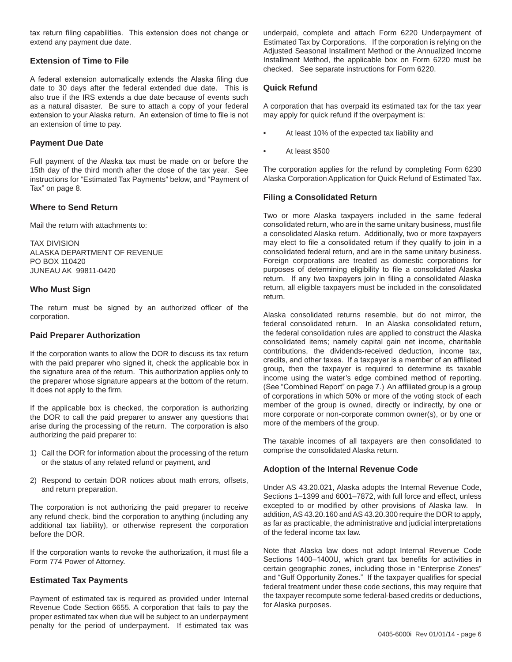tax return filing capabilities. This extension does not change or extend any payment due date.

#### **Extension of Time to File**

A federal extension automatically extends the Alaska filing due date to 30 days after the federal extended due date. This is also true if the IRS extends a due date because of events such as a natural disaster. Be sure to attach a copy of your federal extension to your Alaska return. An extension of time to file is not an extension of time to pay.

#### **Payment Due Date**

Full payment of the Alaska tax must be made on or before the 15th day of the third month after the close of the tax year. See instructions for "Estimated Tax Payments" below, and "Payment of Tax" on page 8.

#### **Where to Send Return**

Mail the return with attachments to:

TAX DIVISION ALASKA DEPARTMENT OF REVENUE PO BOX 110420 JUNEAU AK 99811-0420

#### **Who Must Sign**

The return must be signed by an authorized officer of the corporation.

#### **Paid Preparer Authorization**

If the corporation wants to allow the DOR to discuss its tax return with the paid preparer who signed it, check the applicable box in the signature area of the return. This authorization applies only to the preparer whose signature appears at the bottom of the return. It does not apply to the firm.

If the applicable box is checked, the corporation is authorizing the DOR to call the paid preparer to answer any questions that arise during the processing of the return. The corporation is also authorizing the paid preparer to:

- 1) Call the DOR for information about the processing of the return or the status of any related refund or payment, and
- 2) Respond to certain DOR notices about math errors, offsets, and return preparation.

The corporation is not authorizing the paid preparer to receive any refund check, bind the corporation to anything (including any additional tax liability), or otherwise represent the corporation before the DOR.

If the corporation wants to revoke the authorization, it must file a Form 774 Power of Attorney.

#### **Estimated Tax Payments**

Payment of estimated tax is required as provided under Internal Revenue Code Section 6655. A corporation that fails to pay the proper estimated tax when due will be subject to an underpayment penalty for the period of underpayment. If estimated tax was

underpaid, complete and attach Form 6220 Underpayment of Estimated Tax by Corporations. If the corporation is relying on the Adjusted Seasonal Installment Method or the Annualized Income Installment Method, the applicable box on Form 6220 must be checked. See separate instructions for Form 6220.

#### **Quick Refund**

A corporation that has overpaid its estimated tax for the tax year may apply for quick refund if the overpayment is:

- At least 10% of the expected tax liability and
- At least \$500

The corporation applies for the refund by completing Form 6230 Alaska Corporation Application for Quick Refund of Estimated Tax.

#### **Filing a Consolidated Return**

Two or more Alaska taxpayers included in the same federal consolidated return, who are in the same unitary business, must file a consolidated Alaska return. Additionally, two or more taxpayers may elect to file a consolidated return if they qualify to join in a consolidated federal return, and are in the same unitary business. Foreign corporations are treated as domestic corporations for purposes of determining eligibility to file a consolidated Alaska return. If any two taxpayers join in filing a consolidated Alaska return, all eligible taxpayers must be included in the consolidated return.

Alaska consolidated returns resemble, but do not mirror, the federal consolidated return. In an Alaska consolidated return, the federal consolidation rules are applied to construct the Alaska consolidated items; namely capital gain net income, charitable contributions, the dividends-received deduction, income tax, credits, and other taxes. If a taxpayer is a member of an affiliated group, then the taxpayer is required to determine its taxable income using the water's edge combined method of reporting. (See "Combined Report" on page 7.) An affiliated group is a group of corporations in which 50% or more of the voting stock of each member of the group is owned, directly or indirectly, by one or more corporate or non-corporate common owner(s), or by one or more of the members of the group.

The taxable incomes of all taxpayers are then consolidated to comprise the consolidated Alaska return.

#### **Adoption of the Internal Revenue Code**

Under AS 43.20.021, Alaska adopts the Internal Revenue Code, Sections 1–1399 and 6001–7872, with full force and effect, unless excepted to or modified by other provisions of Alaska law. In addition, AS 43.20.160 and AS 43.20.300 require the DOR to apply, as far as practicable, the administrative and judicial interpretations of the federal income tax law.

Note that Alaska law does not adopt Internal Revenue Code Sections 1400–1400U, which grant tax benefits for activities in certain geographic zones, including those in "Enterprise Zones" and "Gulf Opportunity Zones." If the taxpayer qualifies for special federal treatment under these code sections, this may require that the taxpayer recompute some federal-based credits or deductions, for Alaska purposes.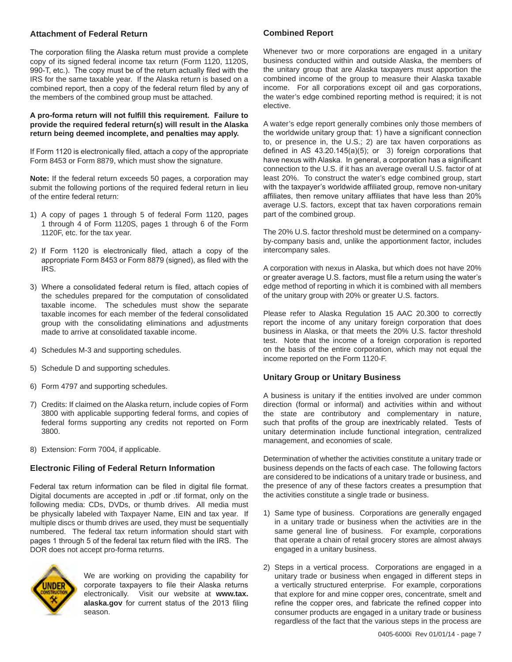#### **Attachment of Federal Return**

The corporation filing the Alaska return must provide a complete copy of its signed federal income tax return (Form 1120, 1120S, 990-T, etc.). The copy must be of the return actually filed with the IRS for the same taxable year. If the Alaska return is based on a combined report, then a copy of the federal return filed by any of the members of the combined group must be attached.

#### **A pro-forma return will not fulfill this requirement. Failure to provide the required federal return(s) will result in the Alaska return being deemed incomplete, and penalties may apply.**

If Form 1120 is electronically filed, attach a copy of the appropriate Form 8453 or Form 8879, which must show the signature.

**Note:** If the federal return exceeds 50 pages, a corporation may submit the following portions of the required federal return in lieu of the entire federal return:

- 1) A copy of pages 1 through 5 of federal Form 1120, pages 1 through 4 of Form 1120S, pages 1 through 6 of the Form 1120F, etc. for the tax year.
- 2) If Form 1120 is electronically filed, attach a copy of the appropriate Form 8453 or Form 8879 (signed), as filed with the IRS.
- 3) Where a consolidated federal return is filed, attach copies of the schedules prepared for the computation of consolidated taxable income. The schedules must show the separate taxable incomes for each member of the federal consolidated group with the consolidating eliminations and adjustments made to arrive at consolidated taxable income.
- 4) Schedules M-3 and supporting schedules.
- 5) Schedule D and supporting schedules.
- 6) Form 4797 and supporting schedules.
- 7) Credits: If claimed on the Alaska return, include copies of Form 3800 with applicable supporting federal forms, and copies of federal forms supporting any credits not reported on Form 3800.
- 8) Extension: Form 7004, if applicable.

#### **Electronic Filing of Federal Return Information**

Federal tax return information can be filed in digital file format. Digital documents are accepted in .pdf or .tif format, only on the following media: CDs, DVDs, or thumb drives. All media must be physically labeled with Taxpayer Name, EIN and tax year. If multiple discs or thumb drives are used, they must be sequentially numbered. The federal tax return information should start with pages 1 through 5 of the federal tax return filed with the IRS. The DOR does not accept pro-forma returns.



We are working on providing the capability for corporate taxpayers to file their Alaska returns electronically. Visit our website at **www.tax. alaska.gov** for current status of the 2013 filing season.

#### **Combined Report**

Whenever two or more corporations are engaged in a unitary business conducted within and outside Alaska, the members of the unitary group that are Alaska taxpayers must apportion the combined income of the group to measure their Alaska taxable income. For all corporations except oil and gas corporations, the water's edge combined reporting method is required; it is not elective.

A water's edge report generally combines only those members of the worldwide unitary group that: 1) have a significant connection to, or presence in, the U.S.; 2) are tax haven corporations as defined in AS 43.20.145(a)(5); or 3) foreign corporations that have nexus with Alaska. In general, a corporation has a significant connection to the U.S. if it has an average overall U.S. factor of at least 20%. To construct the water's edge combined group, start with the taxpayer's worldwide affiliated group, remove non-unitary affiliates, then remove unitary affiliates that have less than 20% average U.S. factors, except that tax haven corporations remain part of the combined group.

The 20% U.S. factor threshold must be determined on a companyby-company basis and, unlike the apportionment factor, includes intercompany sales.

A corporation with nexus in Alaska, but which does not have 20% or greater average U.S. factors, must file a return using the water's edge method of reporting in which it is combined with all members of the unitary group with 20% or greater U.S. factors.

Please refer to Alaska Regulation 15 AAC 20.300 to correctly report the income of any unitary foreign corporation that does business in Alaska, or that meets the 20% U.S. factor threshold test. Note that the income of a foreign corporation is reported on the basis of the entire corporation, which may not equal the income reported on the Form 1120-F.

#### **Unitary Group or Unitary Business**

A business is unitary if the entities involved are under common direction (formal or informal) and activities within and without the state are contributory and complementary in nature, such that profits of the group are inextricably related. Tests of unitary determination include functional integration, centralized management, and economies of scale.

Determination of whether the activities constitute a unitary trade or business depends on the facts of each case. The following factors are considered to be indications of a unitary trade or business, and the presence of any of these factors creates a presumption that the activities constitute a single trade or business.

- 1) Same type of business. Corporations are generally engaged in a unitary trade or business when the activities are in the same general line of business. For example, corporations that operate a chain of retail grocery stores are almost always engaged in a unitary business.
- 2) Steps in a vertical process. Corporations are engaged in a unitary trade or business when engaged in different steps in a vertically structured enterprise. For example, corporations that explore for and mine copper ores, concentrate, smelt and refine the copper ores, and fabricate the refined copper into consumer products are engaged in a unitary trade or business regardless of the fact that the various steps in the process are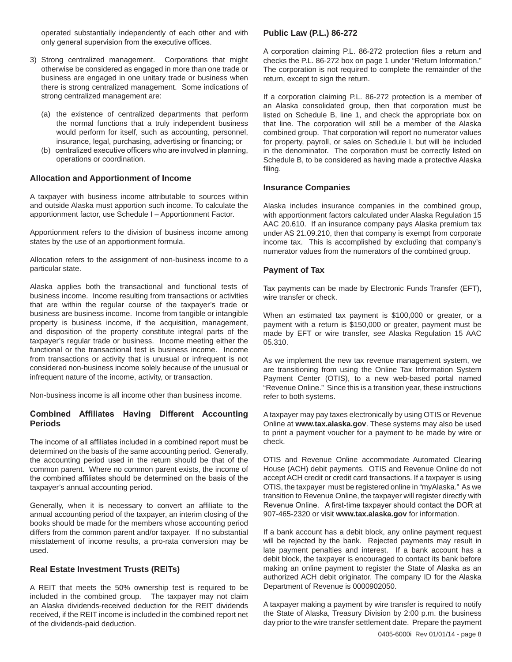operated substantially independently of each other and with only general supervision from the executive offices.

- 3) Strong centralized management. Corporations that might otherwise be considered as engaged in more than one trade or business are engaged in one unitary trade or business when there is strong centralized management. Some indications of strong centralized management are:
	- (a) the existence of centralized departments that perform the normal functions that a truly independent business would perform for itself, such as accounting, personnel, insurance, legal, purchasing, advertising or financing; or
	- (b) centralized executive officers who are involved in planning, operations or coordination.

#### **Allocation and Apportionment of Income**

A taxpayer with business income attributable to sources within and outside Alaska must apportion such income. To calculate the apportionment factor, use Schedule I – Apportionment Factor.

Apportionment refers to the division of business income among states by the use of an apportionment formula.

Allocation refers to the assignment of non-business income to a particular state.

Alaska applies both the transactional and functional tests of business income. Income resulting from transactions or activities that are within the regular course of the taxpayer's trade or business are business income. Income from tangible or intangible property is business income, if the acquisition, management, and disposition of the property constitute integral parts of the taxpayer's regular trade or business. Income meeting either the functional or the transactional test is business income. Income from transactions or activity that is unusual or infrequent is not considered non-business income solely because of the unusual or infrequent nature of the income, activity, or transaction.

Non-business income is all income other than business income.

## **Combined Affiliates Having Different Accounting Periods**

The income of all affiliates included in a combined report must be determined on the basis of the same accounting period. Generally, the accounting period used in the return should be that of the common parent. Where no common parent exists, the income of the combined affiliates should be determined on the basis of the taxpayer's annual accounting period.

Generally, when it is necessary to convert an affiliate to the annual accounting period of the taxpayer, an interim closing of the books should be made for the members whose accounting period differs from the common parent and/or taxpayer. If no substantial misstatement of income results, a pro-rata conversion may be used.

#### **Real Estate Investment Trusts (REITs)**

A REIT that meets the 50% ownership test is required to be included in the combined group. The taxpayer may not claim an Alaska dividends-received deduction for the REIT dividends received, if the REIT income is included in the combined report net of the dividends-paid deduction.

#### **Public Law (P.L.) 86-272**

A corporation claiming P.L. 86-272 protection files a return and checks the P.L. 86-272 box on page 1 under "Return Information." The corporation is not required to complete the remainder of the return, except to sign the return.

If a corporation claiming P.L. 86-272 protection is a member of an Alaska consolidated group, then that corporation must be listed on Schedule B, line 1, and check the appropriate box on that line. The corporation will still be a member of the Alaska combined group. That corporation will report no numerator values for property, payroll, or sales on Schedule I, but will be included in the denominator. The corporation must be correctly listed on Schedule B, to be considered as having made a protective Alaska filing.

#### **Insurance Companies**

Alaska includes insurance companies in the combined group, with apportionment factors calculated under Alaska Regulation 15 AAC 20.610. If an insurance company pays Alaska premium tax under AS 21.09.210, then that company is exempt from corporate income tax. This is accomplished by excluding that company's numerator values from the numerators of the combined group.

#### **Payment of Tax**

Tax payments can be made by Electronic Funds Transfer (EFT), wire transfer or check.

When an estimated tax payment is \$100,000 or greater, or a payment with a return is \$150,000 or greater, payment must be made by EFT or wire transfer, see Alaska Regulation 15 AAC 05.310.

As we implement the new tax revenue management system, we are transitioning from using the Online Tax Information System Payment Center (OTIS), to a new web-based portal named "Revenue Online." Since this is a transition year, these instructions refer to both systems.

A taxpayer may pay taxes electronically by using OTIS or Revenue Online at **www.tax.alaska.gov**. These systems may also be used to print a payment voucher for a payment to be made by wire or check.

OTIS and Revenue Online accommodate Automated Clearing House (ACH) debit payments. OTIS and Revenue Online do not accept ACH credit or credit card transactions. If a taxpayer is using OTIS, the taxpayer must be registered online in "myAlaska." As we transition to Revenue Online, the taxpayer will register directly with Revenue Online. A first-time taxpayer should contact the DOR at 907-465-2320 or visit **www.tax.alaska.gov** for information.

If a bank account has a debit block, any online payment request will be rejected by the bank. Rejected payments may result in late payment penalties and interest. If a bank account has a debit block, the taxpayer is encouraged to contact its bank before making an online payment to register the State of Alaska as an authorized ACH debit originator. The company ID for the Alaska Department of Revenue is 0000902050.

A taxpayer making a payment by wire transfer is required to notify the State of Alaska, Treasury Division by 2:00 p.m. the business day prior to the wire transfer settlement date. Prepare the payment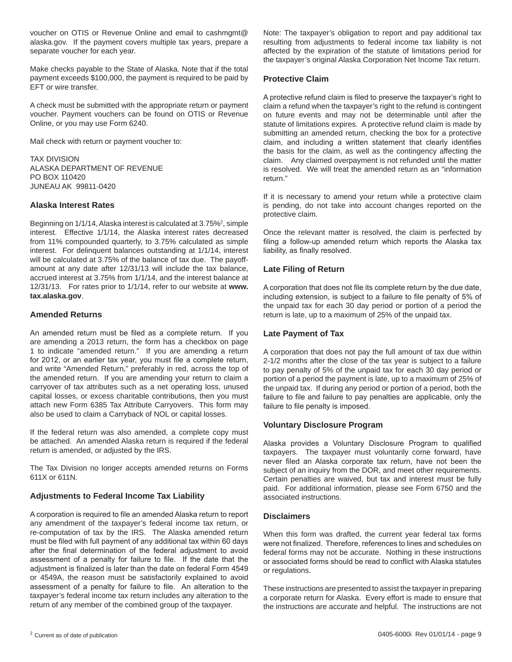voucher on OTIS or Revenue Online and email to cashmgmt@ alaska.gov. If the payment covers multiple tax years, prepare a separate voucher for each year.

Make checks payable to the State of Alaska. Note that if the total payment exceeds \$100,000, the payment is required to be paid by EFT or wire transfer.

A check must be submitted with the appropriate return or payment voucher. Payment vouchers can be found on OTIS or Revenue Online, or you may use Form 6240.

Mail check with return or payment voucher to:

TAX DIVISION ALASKA DEPARTMENT OF REVENUE PO BOX 110420 JUNEAU AK 99811-0420

#### **Alaska Interest Rates**

Beginning on 1/1/14, Alaska interest is calculated at 3.75%², simple interest. Effective 1/1/14, the Alaska interest rates decreased from 11% compounded quarterly, to 3.75% calculated as simple interest. For delinquent balances outstanding at 1/1/14, interest will be calculated at 3.75% of the balance of tax due. The payoffamount at any date after 12/31/13 will include the tax balance, accrued interest at 3.75% from 1/1/14, and the interest balance at 12/31/13. For rates prior to 1/1/14, refer to our website at **www. tax.alaska.gov**.

#### **Amended Returns**

An amended return must be filed as a complete return. If you are amending a 2013 return, the form has a checkbox on page 1 to indicate "amended return." If you are amending a return for 2012, or an earlier tax year, you must file a complete return, and write "Amended Return," preferably in red, across the top of the amended return. If you are amending your return to claim a carryover of tax attributes such as a net operating loss, unused capital losses, or excess charitable contributions, then you must attach new Form 6385 Tax Attribute Carryovers. This form may also be used to claim a Carryback of NOL or capital losses.

If the federal return was also amended, a complete copy must be attached. An amended Alaska return is required if the federal return is amended, or adjusted by the IRS.

The Tax Division no longer accepts amended returns on Forms 611X or 611N.

## **Adjustments to Federal Income Tax Liability**

A corporation is required to file an amended Alaska return to report any amendment of the taxpayer's federal income tax return, or re-computation of tax by the IRS. The Alaska amended return must be filed with full payment of any additional tax within 60 days after the final determination of the federal adjustment to avoid assessment of a penalty for failure to file. If the date that the adjustment is finalized is later than the date on federal Form 4549 or 4549A, the reason must be satisfactorily explained to avoid assessment of a penalty for failure to file. An alteration to the taxpayer's federal income tax return includes any alteration to the return of any member of the combined group of the taxpayer.

Note: The taxpayer's obligation to report and pay additional tax resulting from adjustments to federal income tax liability is not affected by the expiration of the statute of limitations period for the taxpayer's original Alaska Corporation Net Income Tax return.

#### **Protective Claim**

A protective refund claim is filed to preserve the taxpayer's right to claim a refund when the taxpayer's right to the refund is contingent on future events and may not be determinable until after the statute of limitations expires. A protective refund claim is made by submitting an amended return, checking the box for a protective claim, and including a written statement that clearly identifies the basis for the claim, as well as the contingency affecting the claim. Any claimed overpayment is not refunded until the matter is resolved. We will treat the amended return as an "information return."

If it is necessary to amend your return while a protective claim is pending, do not take into account changes reported on the protective claim.

Once the relevant matter is resolved, the claim is perfected by filing a follow-up amended return which reports the Alaska tax liability, as finally resolved.

#### **Late Filing of Return**

A corporation that does not file its complete return by the due date, including extension, is subject to a failure to file penalty of 5% of the unpaid tax for each 30 day period or portion of a period the return is late, up to a maximum of 25% of the unpaid tax.

#### **Late Payment of Tax**

A corporation that does not pay the full amount of tax due within 2-1/2 months after the close of the tax year is subject to a failure to pay penalty of 5% of the unpaid tax for each 30 day period or portion of a period the payment is late, up to a maximum of 25% of the unpaid tax. If during any period or portion of a period, both the failure to file and failure to pay penalties are applicable, only the failure to file penalty is imposed.

#### **Voluntary Disclosure Program**

Alaska provides a Voluntary Disclosure Program to qualified taxpayers. The taxpayer must voluntarily come forward, have never filed an Alaska corporate tax return, have not been the subject of an inquiry from the DOR, and meet other requirements. Certain penalties are waived, but tax and interest must be fully paid. For additional information, please see Form 6750 and the associated instructions.

#### **Disclaimers**

When this form was drafted, the current year federal tax forms were not finalized. Therefore, references to lines and schedules on federal forms may not be accurate. Nothing in these instructions or associated forms should be read to conflict with Alaska statutes or regulations.

These instructions are presented to assist the taxpayer in preparing a corporate return for Alaska. Every effort is made to ensure that the instructions are accurate and helpful. The instructions are not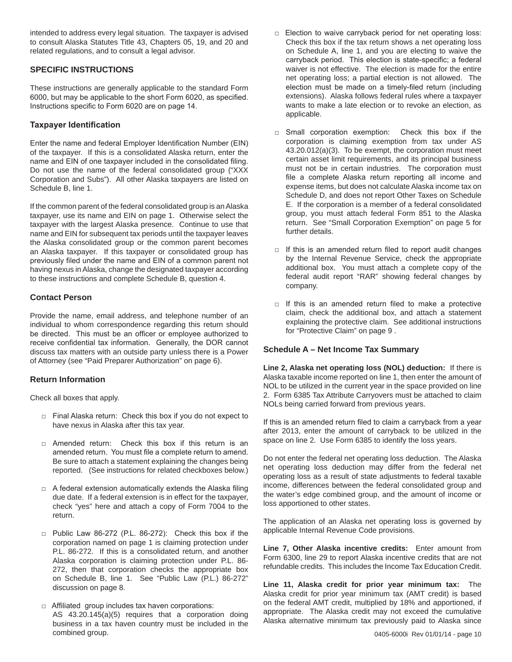intended to address every legal situation. The taxpayer is advised to consult Alaska Statutes Title 43, Chapters 05, 19, and 20 and related regulations, and to consult a legal advisor.

## **SPECIFIC INSTRUCTIONS**

These instructions are generally applicable to the standard Form 6000, but may be applicable to the short Form 6020, as specified. Instructions specific to Form 6020 are on page 14.

## **Taxpayer Identification**

Enter the name and federal Employer Identification Number (EIN) of the taxpayer. If this is a consolidated Alaska return, enter the name and EIN of one taxpayer included in the consolidated filing. Do not use the name of the federal consolidated group ("XXX Corporation and Subs"). All other Alaska taxpayers are listed on Schedule B, line 1.

If the common parent of the federal consolidated group is an Alaska taxpayer, use its name and EIN on page 1. Otherwise select the taxpayer with the largest Alaska presence. Continue to use that name and EIN for subsequent tax periods until the taxpayer leaves the Alaska consolidated group or the common parent becomes an Alaska taxpayer. If this taxpayer or consolidated group has previously filed under the name and EIN of a common parent not having nexus in Alaska, change the designated taxpayer according to these instructions and complete Schedule B, question 4.

## **Contact Person**

Provide the name, email address, and telephone number of an individual to whom correspondence regarding this return should be directed. This must be an officer or employee authorized to receive confidential tax information. Generally, the DOR cannot discuss tax matters with an outside party unless there is a Power of Attorney (see "Paid Preparer Authorization" on page 6).

## **Return Information**

Check all boxes that apply.

- □ Final Alaska return: Check this box if you do not expect to have nexus in Alaska after this tax year.
- □ Amended return: Check this box if this return is an amended return. You must file a complete return to amend. Be sure to attach a statement explaining the changes being reported. (See instructions for related checkboxes below.)
- $\Box$  A federal extension automatically extends the Alaska filing due date. If a federal extension is in effect for the taxpayer, check "yes" here and attach a copy of Form 7004 to the return.
- □ Public Law 86-272 (P.L. 86-272): Check this box if the corporation named on page 1 is claiming protection under P.L. 86-272. If this is a consolidated return, and another Alaska corporation is claiming protection under P.L. 86- 272, then that corporation checks the appropriate box on Schedule B, line 1. See "Public Law (P.L.) 86-272" discussion on page 8.
- □ Affiliated group includes tax haven corporations: AS 43.20.145(a)(5) requires that a corporation doing business in a tax haven country must be included in the combined group.
- □ Election to waive carryback period for net operating loss: Check this box if the tax return shows a net operating loss on Schedule A, line 1, and you are electing to waive the carryback period. This election is state-specific; a federal waiver is not effective. The election is made for the entire net operating loss; a partial election is not allowed. The election must be made on a timely-filed return (including extensions). Alaska follows federal rules where a taxpayer wants to make a late election or to revoke an election, as applicable.
- □ Small corporation exemption: Check this box if the corporation is claiming exemption from tax under AS 43.20.012(a)(3). To be exempt, the corporation must meet certain asset limit requirements, and its principal business must not be in certain industries. The corporation must file a complete Alaska return reporting all income and expense items, but does not calculate Alaska income tax on Schedule D, and does not report Other Taxes on Schedule E. If the corporation is a member of a federal consolidated group, you must attach federal Form 851 to the Alaska return. See "Small Corporation Exemption" on page 5 for further details.
- $\Box$  If this is an amended return filed to report audit changes by the Internal Revenue Service, check the appropriate additional box. You must attach a complete copy of the federal audit report "RAR" showing federal changes by company.
- $\Box$  If this is an amended return filed to make a protective claim, check the additional box, and attach a statement explaining the protective claim. See additional instructions for "Protective Claim" on page 9 .

#### **Schedule A – Net Income Tax Summary**

**Line 2, Alaska net operating loss (NOL) deduction:** If there is Alaska taxable income reported on line 1, then enter the amount of NOL to be utilized in the current year in the space provided on line 2. Form 6385 Tax Attribute Carryovers must be attached to claim NOLs being carried forward from previous years.

If this is an amended return filed to claim a carryback from a year after 2013, enter the amount of carryback to be utilized in the space on line 2. Use Form 6385 to identify the loss years.

Do not enter the federal net operating loss deduction. The Alaska net operating loss deduction may differ from the federal net operating loss as a result of state adjustments to federal taxable income, differences between the federal consolidated group and the water's edge combined group, and the amount of income or loss apportioned to other states.

The application of an Alaska net operating loss is governed by applicable Internal Revenue Code provisions.

**Line 7, Other Alaska incentive credits:** Enter amount from Form 6300, line 29 to report Alaska incentive credits that are not refundable credits. This includes the Income Tax Education Credit.

**Line 11, Alaska credit for prior year minimum tax:** The Alaska credit for prior year minimum tax (AMT credit) is based on the federal AMT credit, multiplied by 18% and apportioned, if appropriate. The Alaska credit may not exceed the cumulative Alaska alternative minimum tax previously paid to Alaska since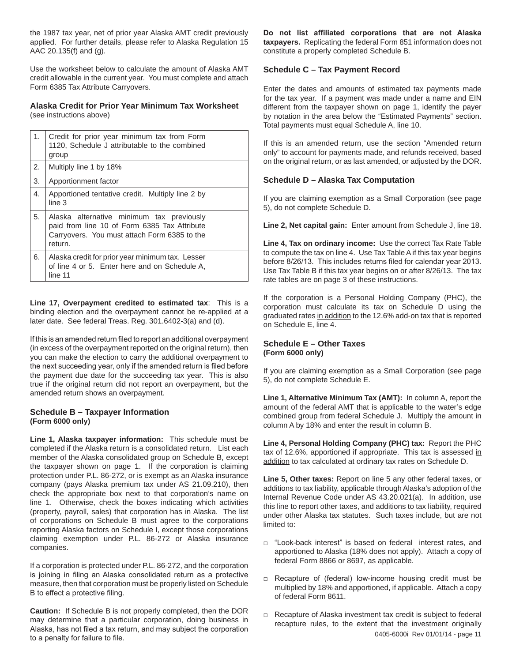the 1987 tax year, net of prior year Alaska AMT credit previously applied. For further details, please refer to Alaska Regulation 15 AAC 20.135(f) and (g).

Use the worksheet below to calculate the amount of Alaska AMT credit allowable in the current year. You must complete and attach Form 6385 Tax Attribute Carryovers.

#### **Alaska Credit for Prior Year Minimum Tax Worksheet** (see instructions above)

| 1. | Credit for prior year minimum tax from Form<br>1120, Schedule J attributable to the combined<br>group                                                |  |
|----|------------------------------------------------------------------------------------------------------------------------------------------------------|--|
| 2. | Multiply line 1 by 18%                                                                                                                               |  |
| 3. | Apportionment factor                                                                                                                                 |  |
| 4. | Apportioned tentative credit. Multiply line 2 by<br>line <sub>3</sub>                                                                                |  |
| 5. | Alaska alternative minimum tax previously<br>paid from line 10 of Form 6385 Tax Attribute<br>Carryovers. You must attach Form 6385 to the<br>return. |  |
| 6. | Alaska credit for prior year minimum tax. Lesser<br>of line 4 or 5. Enter here and on Schedule A,<br>line 11                                         |  |

**Line 17, Overpayment credited to estimated tax**: This is a binding election and the overpayment cannot be re-applied at a later date. See federal Treas. Reg. 301.6402-3(a) and (d).

If this is an amended return filed to report an additional overpayment (in excess of the overpayment reported on the original return), then you can make the election to carry the additional overpayment to the next succeeding year, only if the amended return is filed before the payment due date for the succeeding tax year. This is also true if the original return did not report an overpayment, but the amended return shows an overpayment.

#### **Schedule B – Taxpayer Information (Form 6000 only)**

**Line 1, Alaska taxpayer information:** This schedule must be completed if the Alaska return is a consolidated return. List each member of the Alaska consolidated group on Schedule B, except the taxpayer shown on page 1. If the corporation is claiming protection under P.L. 86-272, or is exempt as an Alaska insurance company (pays Alaska premium tax under AS 21.09.210), then check the appropriate box next to that corporation's name on line 1. Otherwise, check the boxes indicating which activities (property, payroll, sales) that corporation has in Alaska. The list of corporations on Schedule B must agree to the corporations reporting Alaska factors on Schedule I, except those corporations claiming exemption under P.L. 86-272 or Alaska insurance companies.

If a corporation is protected under P.L. 86-272, and the corporation is joining in filing an Alaska consolidated return as a protective measure, then that corporation must be properly listed on Schedule B to effect a protective filing.

**Caution:** If Schedule B is not properly completed, then the DOR may determine that a particular corporation, doing business in Alaska, has not filed a tax return, and may subject the corporation to a penalty for failure to file.

**Do not list affiliated corporations that are not Alaska taxpayers.** Replicating the federal Form 851 information does not constitute a properly completed Schedule B.

## **Schedule C – Tax Payment Record**

Enter the dates and amounts of estimated tax payments made for the tax year. If a payment was made under a name and EIN different from the taxpayer shown on page 1, identify the payer by notation in the area below the "Estimated Payments" section. Total payments must equal Schedule A, line 10.

If this is an amended return, use the section "Amended return only" to account for payments made, and refunds received, based on the original return, or as last amended, or adjusted by the DOR.

## **Schedule D – Alaska Tax Computation**

If you are claiming exemption as a Small Corporation (see page 5), do not complete Schedule D.

**Line 2, Net capital gain:** Enter amount from Schedule J, line 18.

**Line 4, Tax on ordinary income:** Use the correct Tax Rate Table to compute the tax on line 4. Use Tax Table A if this tax year begins before 8/26/13. This includes returns filed for calendar year 2013. Use Tax Table B if this tax year begins on or after 8/26/13. The tax rate tables are on page 3 of these instructions.

If the corporation is a Personal Holding Company (PHC), the corporation must calculate its tax on Schedule D using the graduated rates in addition to the 12.6% add-on tax that is reported on Schedule E, line 4.

#### **Schedule E – Other Taxes (Form 6000 only)**

If you are claiming exemption as a Small Corporation (see page 5), do not complete Schedule E.

**Line 1, Alternative Minimum Tax (AMT):** In column A, report the amount of the federal AMT that is applicable to the water's edge combined group from federal Schedule J. Multiply the amount in column A by 18% and enter the result in column B.

**Line 4, Personal Holding Company (PHC) tax:** Report the PHC tax of 12.6%, apportioned if appropriate. This tax is assessed in addition to tax calculated at ordinary tax rates on Schedule D.

**Line 5, Other taxes:** Report on line 5 any other federal taxes, or additions to tax liability, applicable through Alaska's adoption of the Internal Revenue Code under AS 43.20.021(a). In addition, use this line to report other taxes, and additions to tax liability, required under other Alaska tax statutes. Such taxes include, but are not limited to:

- □ "Look-back interest" is based on federal interest rates, and apportioned to Alaska (18% does not apply). Attach a copy of federal Form 8866 or 8697, as applicable.
- □ Recapture of (federal) low-income housing credit must be multiplied by 18% and apportioned, if applicable. Attach a copy of federal Form 8611.
- 0405-6000i Rev 01/01/14 page 11 □ Recapture of Alaska investment tax credit is subject to federal recapture rules, to the extent that the investment originally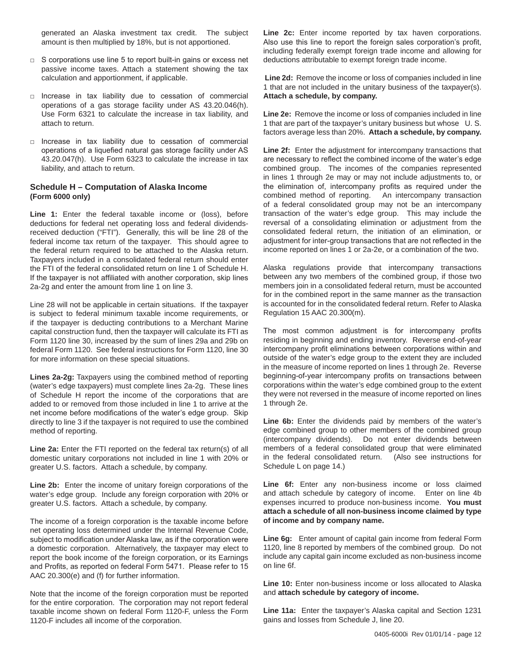generated an Alaska investment tax credit. The subject amount is then multiplied by 18%, but is not apportioned.

- $\Box$  S corporations use line 5 to report built-in gains or excess net passive income taxes. Attach a statement showing the tax calculation and apportionment, if applicable.
- □ Increase in tax liability due to cessation of commercial operations of a gas storage facility under AS 43.20.046(h). Use Form 6321 to calculate the increase in tax liability, and attach to return.
- □ Increase in tax liability due to cessation of commercial operations of a liquefied natural gas storage facility under AS 43.20.047(h). Use Form 6323 to calculate the increase in tax liability, and attach to return.

#### **Schedule H – Computation of Alaska Income (Form 6000 only)**

**Line 1:** Enter the federal taxable income or (loss), before deductions for federal net operating loss and federal dividendsreceived deduction ("FTI"). Generally, this will be line 28 of the federal income tax return of the taxpayer. This should agree to the federal return required to be attached to the Alaska return. Taxpayers included in a consolidated federal return should enter the FTI of the federal consolidated return on line 1 of Schedule H. If the taxpayer is not affiliated with another corporation, skip lines 2a-2g and enter the amount from line 1 on line 3.

Line 28 will not be applicable in certain situations. If the taxpayer is subject to federal minimum taxable income requirements, or if the taxpayer is deducting contributions to a Merchant Marine capital construction fund, then the taxpayer will calculate its FTI as Form 1120 line 30, increased by the sum of lines 29a and 29b on federal Form 1120. See federal instructions for Form 1120, line 30 for more information on these special situations.

**Lines 2a-2g:** Taxpayers using the combined method of reporting (water's edge taxpayers) must complete lines 2a-2g. These lines of Schedule H report the income of the corporations that are added to or removed from those included in line 1 to arrive at the net income before modifications of the water's edge group. Skip directly to line 3 if the taxpayer is not required to use the combined method of reporting.

**Line 2a:** Enter the FTI reported on the federal tax return(s) of all domestic unitary corporations not included in line 1 with 20% or greater U.S. factors. Attach a schedule, by company.

**Line 2b:** Enter the income of unitary foreign corporations of the water's edge group. Include any foreign corporation with 20% or greater U.S. factors. Attach a schedule, by company.

The income of a foreign corporation is the taxable income before net operating loss determined under the Internal Revenue Code, subject to modification under Alaska law, as if the corporation were a domestic corporation. Alternatively, the taxpayer may elect to report the book income of the foreign corporation, or its Earnings and Profits, as reported on federal Form 5471. Please refer to 15 AAC 20.300(e) and (f) for further information.

Note that the income of the foreign corporation must be reported for the entire corporation. The corporation may not report federal taxable income shown on federal Form 1120-F, unless the Form 1120-F includes all income of the corporation.

**Line 2c:** Enter income reported by tax haven corporations. Also use this line to report the foreign sales corporation's profit, including federally exempt foreign trade income and allowing for deductions attributable to exempt foreign trade income.

**Line 2d:** Remove the income or loss of companies included in line 1 that are not included in the unitary business of the taxpayer(s). **Attach a schedule, by company.**

**Line 2e:** Remove the income or loss of companies included in line 1 that are part of the taxpayer's unitary business but whose U. S. factors average less than 20%. **Attach a schedule, by company.**

**Line 2f:** Enter the adjustment for intercompany transactions that are necessary to reflect the combined income of the water's edge combined group. The incomes of the companies represented in lines 1 through 2e may or may not include adjustments to, or the elimination of, intercompany profits as required under the combined method of reporting. An intercompany transaction of a federal consolidated group may not be an intercompany transaction of the water's edge group. This may include the reversal of a consolidating elimination or adjustment from the consolidated federal return, the initiation of an elimination, or adjustment for inter-group transactions that are not reflected in the income reported on lines 1 or 2a-2e, or a combination of the two.

Alaska regulations provide that intercompany transactions between any two members of the combined group, if those two members join in a consolidated federal return, must be accounted for in the combined report in the same manner as the transaction is accounted for in the consolidated federal return. Refer to Alaska Regulation 15 AAC 20.300(m).

The most common adjustment is for intercompany profits residing in beginning and ending inventory. Reverse end-of-year intercompany profit eliminations between corporations within and outside of the water's edge group to the extent they are included in the measure of income reported on lines 1 through 2e. Reverse beginning-of-year intercompany profits on transactions between corporations within the water's edge combined group to the extent they were not reversed in the measure of income reported on lines 1 through 2e.

**Line 6b:** Enter the dividends paid by members of the water's edge combined group to other members of the combined group (intercompany dividends). Do not enter dividends between members of a federal consolidated group that were eliminated in the federal consolidated return. (Also see instructions for Schedule L on page 14.)

**Line 6f:** Enter any non-business income or loss claimed and attach schedule by category of income. Enter on line 4b expenses incurred to produce non-business income. **You must attach a schedule of all non-business income claimed by type of income and by company name.**

**Line 6g:** Enter amount of capital gain income from federal Form 1120, line 8 reported by members of the combined group. Do not include any capital gain income excluded as non-business income on line 6f.

**Line 10:** Enter non-business income or loss allocated to Alaska and **attach schedule by category of income.**

**Line 11a:** Enter the taxpayer's Alaska capital and Section 1231 gains and losses from Schedule J, line 20.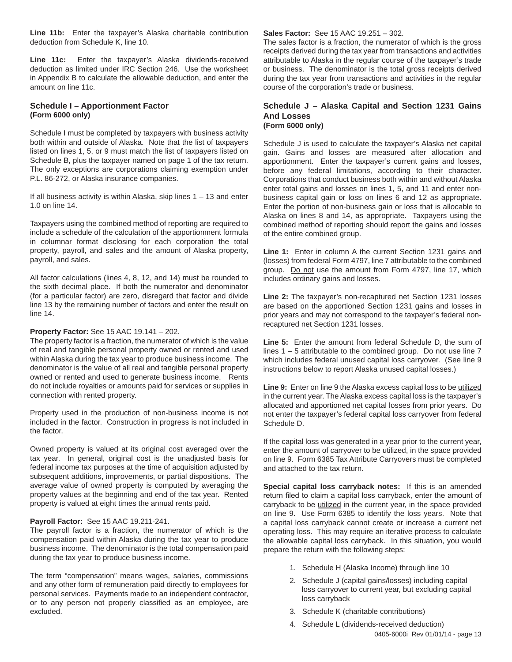**Line 11b:** Enter the taxpayer's Alaska charitable contribution deduction from Schedule K, line 10.

**Line 11c:** Enter the taxpayer's Alaska dividends-received deduction as limited under IRC Section 246. Use the worksheet in Appendix B to calculate the allowable deduction, and enter the amount on line 11c.

#### **Schedule I – Apportionment Factor (Form 6000 only)**

Schedule I must be completed by taxpayers with business activity both within and outside of Alaska. Note that the list of taxpayers listed on lines 1, 5, or 9 must match the list of taxpayers listed on Schedule B, plus the taxpayer named on page 1 of the tax return. The only exceptions are corporations claiming exemption under P.L. 86-272, or Alaska insurance companies.

If all business activity is within Alaska, skip lines  $1 - 13$  and enter 1.0 on line 14.

Taxpayers using the combined method of reporting are required to include a schedule of the calculation of the apportionment formula in columnar format disclosing for each corporation the total property, payroll, and sales and the amount of Alaska property, payroll, and sales.

All factor calculations (lines 4, 8, 12, and 14) must be rounded to the sixth decimal place. If both the numerator and denominator (for a particular factor) are zero, disregard that factor and divide line 13 by the remaining number of factors and enter the result on line 14.

#### **Property Factor:** See 15 AAC 19.141 – 202.

The property factor is a fraction, the numerator of which is the value of real and tangible personal property owned or rented and used within Alaska during the tax year to produce business income. The denominator is the value of all real and tangible personal property owned or rented and used to generate business income. Rents do not include royalties or amounts paid for services or supplies in connection with rented property.

Property used in the production of non-business income is not included in the factor. Construction in progress is not included in the factor.

Owned property is valued at its original cost averaged over the tax year. In general, original cost is the unadjusted basis for federal income tax purposes at the time of acquisition adjusted by subsequent additions, improvements, or partial dispositions. The average value of owned property is computed by averaging the property values at the beginning and end of the tax year. Rented property is valued at eight times the annual rents paid.

#### **Payroll Factor:** See 15 AAC 19.211-241.

The payroll factor is a fraction, the numerator of which is the compensation paid within Alaska during the tax year to produce business income. The denominator is the total compensation paid during the tax year to produce business income.

The term "compensation" means wages, salaries, commissions and any other form of remuneration paid directly to employees for personal services. Payments made to an independent contractor, or to any person not properly classified as an employee, are excluded.

**Sales Factor:** See 15 AAC 19.251 – 302.

The sales factor is a fraction, the numerator of which is the gross receipts derived during the tax year from transactions and activities attributable to Alaska in the regular course of the taxpayer's trade or business. The denominator is the total gross receipts derived during the tax year from transactions and activities in the regular course of the corporation's trade or business.

#### **Schedule J – Alaska Capital and Section 1231 Gains And Losses (Form 6000 only)**

Schedule J is used to calculate the taxpayer's Alaska net capital gain. Gains and losses are measured after allocation and apportionment. Enter the taxpayer's current gains and losses, before any federal limitations, according to their character. Corporations that conduct business both within and without Alaska enter total gains and losses on lines 1, 5, and 11 and enter nonbusiness capital gain or loss on lines 6 and 12 as appropriate. Enter the portion of non-business gain or loss that is allocable to Alaska on lines 8 and 14, as appropriate. Taxpayers using the combined method of reporting should report the gains and losses of the entire combined group.

Line 1: Enter in column A the current Section 1231 gains and (losses) from federal Form 4797, line 7 attributable to the combined group. Do not use the amount from Form 4797, line 17, which includes ordinary gains and losses.

**Line 2:** The taxpayer's non-recaptured net Section 1231 losses are based on the apportioned Section 1231 gains and losses in prior years and may not correspond to the taxpayer's federal nonrecaptured net Section 1231 losses.

**Line 5:** Enter the amount from federal Schedule D, the sum of lines  $1 - 5$  attributable to the combined group. Do not use line  $7$ which includes federal unused capital loss carryover. (See line 9 instructions below to report Alaska unused capital losses.)

Line 9: Enter on line 9 the Alaska excess capital loss to be utilized in the current year. The Alaska excess capital loss is the taxpayer's allocated and apportioned net capital losses from prior years. Do not enter the taxpayer's federal capital loss carryover from federal Schedule D.

If the capital loss was generated in a year prior to the current year, enter the amount of carryover to be utilized, in the space provided on line 9. Form 6385 Tax Attribute Carryovers must be completed and attached to the tax return.

**Special capital loss carryback notes:** If this is an amended return filed to claim a capital loss carryback, enter the amount of carryback to be utilized in the current year, in the space provided on line 9. Use Form 6385 to identify the loss years. Note that a capital loss carryback cannot create or increase a current net operating loss. This may require an iterative process to calculate the allowable capital loss carryback. In this situation, you would prepare the return with the following steps:

- 1. Schedule H (Alaska Income) through line 10
- 2. Schedule J (capital gains/losses) including capital loss carryover to current year, but excluding capital loss carryback
- 3. Schedule K (charitable contributions)
- 0405-6000i Rev 01/01/14 page 13 4. Schedule L (dividends-received deduction)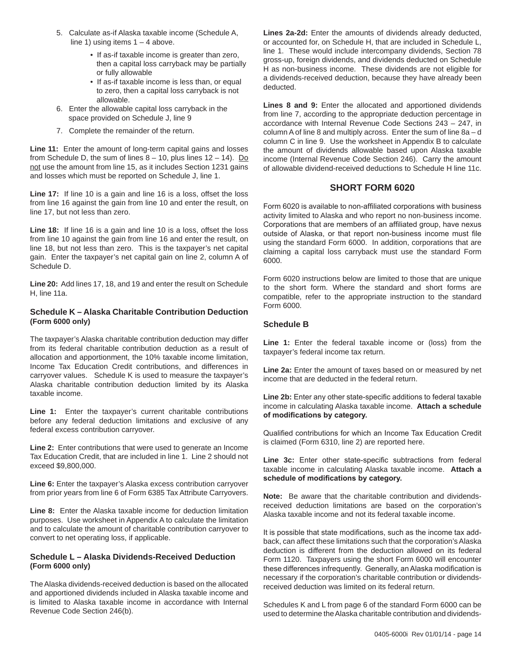- 5. Calculate as-if Alaska taxable income (Schedule A, line 1) using items  $1 - 4$  above.
	- If as-if taxable income is greater than zero, then a capital loss carryback may be partially or fully allowable
	- If as-if taxable income is less than, or equal to zero, then a capital loss carryback is not allowable.
- 6. Enter the allowable capital loss carryback in the space provided on Schedule J, line 9
- 7. Complete the remainder of the return.

**Line 11:** Enter the amount of long-term capital gains and losses from Schedule D, the sum of lines  $8 - 10$ , plus lines  $12 - 14$ ). Do not use the amount from line 15, as it includes Section 1231 gains and losses which must be reported on Schedule J, line 1.

**Line 17:** If line 10 is a gain and line 16 is a loss, offset the loss from line 16 against the gain from line 10 and enter the result, on line 17, but not less than zero.

**Line 18:** If line 16 is a gain and line 10 is a loss, offset the loss from line 10 against the gain from line 16 and enter the result, on line 18, but not less than zero. This is the taxpayer's net capital gain. Enter the taxpayer's net capital gain on line 2, column A of Schedule D.

**Line 20:** Add lines 17, 18, and 19 and enter the result on Schedule H, line 11a.

#### **Schedule K – Alaska Charitable Contribution Deduction (Form 6000 only)**

The taxpayer's Alaska charitable contribution deduction may differ from its federal charitable contribution deduction as a result of allocation and apportionment, the 10% taxable income limitation, Income Tax Education Credit contributions, and differences in carryover values. Schedule K is used to measure the taxpayer's Alaska charitable contribution deduction limited by its Alaska taxable income.

**Line 1:** Enter the taxpayer's current charitable contributions before any federal deduction limitations and exclusive of any federal excess contribution carryover.

**Line 2:** Enter contributions that were used to generate an Income Tax Education Credit, that are included in line 1. Line 2 should not exceed \$9,800,000.

**Line 6:** Enter the taxpayer's Alaska excess contribution carryover from prior years from line 6 of Form 6385 Tax Attribute Carryovers.

**Line 8:** Enter the Alaska taxable income for deduction limitation purposes. Use worksheet in Appendix A to calculate the limitation and to calculate the amount of charitable contribution carryover to convert to net operating loss, if applicable.

#### **Schedule L – Alaska Dividends-Received Deduction (Form 6000 only)**

The Alaska dividends-received deduction is based on the allocated and apportioned dividends included in Alaska taxable income and is limited to Alaska taxable income in accordance with Internal Revenue Code Section 246(b).

**Lines 2a-2d:** Enter the amounts of dividends already deducted, or accounted for, on Schedule H, that are included in Schedule L, line 1. These would include intercompany dividends, Section 78 gross-up, foreign dividends, and dividends deducted on Schedule H as non-business income. These dividends are not eligible for a dividends-received deduction, because they have already been deducted.

**Lines 8 and 9:** Enter the allocated and apportioned dividends from line 7, according to the appropriate deduction percentage in accordance with Internal Revenue Code Sections 243 – 247, in column A of line 8 and multiply across. Enter the sum of line 8a – d column C in line 9. Use the worksheet in Appendix B to calculate the amount of dividends allowable based upon Alaska taxable income (Internal Revenue Code Section 246). Carry the amount of allowable dividend-received deductions to Schedule H line 11c.

## **SHORT FORM 6020**

Form 6020 is available to non-affiliated corporations with business activity limited to Alaska and who report no non-business income. Corporations that are members of an affiliated group, have nexus outside of Alaska, or that report non-business income must file using the standard Form 6000. In addition, corporations that are claiming a capital loss carryback must use the standard Form 6000.

Form 6020 instructions below are limited to those that are unique to the short form. Where the standard and short forms are compatible, refer to the appropriate instruction to the standard Form 6000.

## **Schedule B**

**Line 1:** Enter the federal taxable income or (loss) from the taxpayer's federal income tax return.

**Line 2a:** Enter the amount of taxes based on or measured by net income that are deducted in the federal return.

**Line 2b:** Enter any other state-specific additions to federal taxable income in calculating Alaska taxable income. **Attach a schedule of modifications by category.**

Qualified contributions for which an Income Tax Education Credit is claimed (Form 6310, line 2) are reported here.

Line 3c: Enter other state-specific subtractions from federal taxable income in calculating Alaska taxable income. **Attach a schedule of modifications by category.**

**Note:** Be aware that the charitable contribution and dividendsreceived deduction limitations are based on the corporation's Alaska taxable income and not its federal taxable income.

It is possible that state modifications, such as the income tax addback, can affect these limitations such that the corporation's Alaska deduction is different from the deduction allowed on its federal Form 1120. Taxpayers using the short Form 6000 will encounter these differences infrequently. Generally, an Alaska modification is necessary if the corporation's charitable contribution or dividendsreceived deduction was limited on its federal return.

Schedules K and L from page 6 of the standard Form 6000 can be used to determine the Alaska charitable contribution and dividends-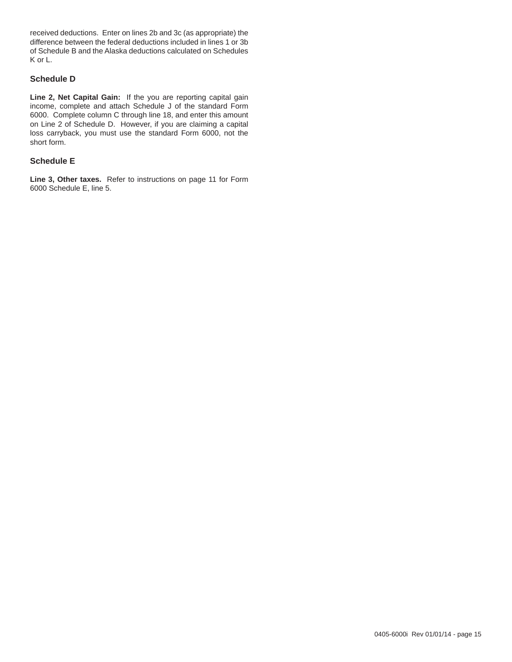received deductions. Enter on lines 2b and 3c (as appropriate) the difference between the federal deductions included in lines 1 or 3b of Schedule B and the Alaska deductions calculated on Schedules K or L.

## **Schedule D**

**Line 2, Net Capital Gain:** If the you are reporting capital gain income, complete and attach Schedule J of the standard Form 6000. Complete column C through line 18, and enter this amount on Line 2 of Schedule D. However, if you are claiming a capital loss carryback, you must use the standard Form 6000, not the short form.

#### **Schedule E**

**Line 3, Other taxes.** Refer to instructions on page 11 for Form 6000 Schedule E, line 5.